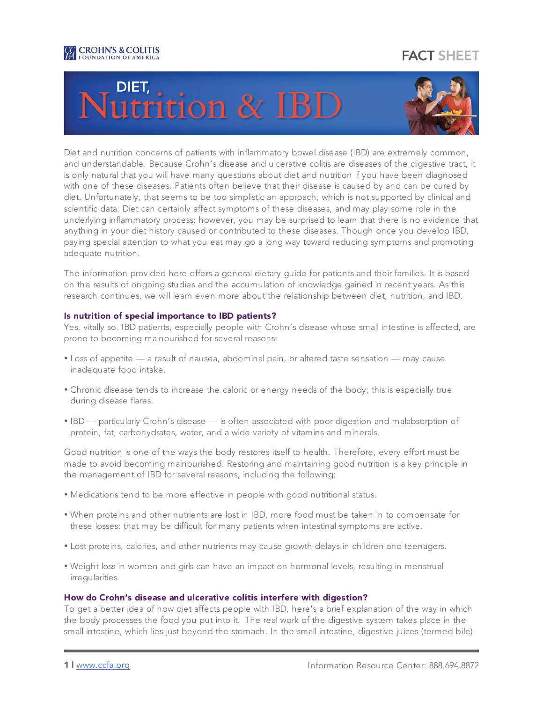

# **FACT SHEET**

# DIET,<br><mark>Utrition & IBI</mark>



Diet and nutrition concerns of patients with inflammatory bowel disease (IBD) are extremely common, and understandable. Because Crohn's disease and ulcerative colitis are diseases of the digestive tract, it is only natural that you will have many questions about diet and nutrition if you have been diagnosed with one of these diseases. Patients often believe that their disease is caused by and can be cured by diet. Unfortunately, that seems to be too simplistic an approach, which is not supported by clinical and scientific data. Diet can certainly affect symptoms of these diseases, and may play some role in the underlying inflammatory process; however, you may be surprised to learn that there is no evidence that anything in your diet history caused or contributed to these diseases. Though once you develop IBD, paying special attention to what you eat may go a long way toward reducing symptoms and promoting adequate nutrition.

The information provided here offers a general dietary guide for patients and their families. It is based on the results of ongoing studies and the accumulation of knowledge gained in recent years. As this research continues, we will learn even more about the relationship between diet, nutrition, and IBD.

#### Is nutrition of special importance to IBD patients?

Yes, vitally so. IBD patients, especially people with Crohn's disease whose small intestine is affected, are prone to becoming malnourished for several reasons:

- Loss of appetite a result of nausea, abdominal pain, or altered taste sensation may cause inadequate food intake.
- Chronic disease tends to increase the caloric or energy needs of the body; this is especially true during disease flares.
- IBD particularly Crohn's disease is often associated with poor digestion and malabsorption of protein, fat, carbohydrates, water, and a wide variety of vitamins and minerals.

Good nutrition is one of the ways the body restores itself to health. Therefore, every effort must be made to avoid becoming malnourished. Restoring and maintaining good nutrition is a key principle in the management of IBD for several reasons, including the following:

- Medications tend to be more effective in people with good nutritional status.
- When proteins and other nutrients are lost in IBD, more food must be taken in to compensate for these losses; that may be difficult for many patients when intestinal symptoms are active.
- Lost proteins, calories, and other nutrients may cause growth delays in children and teenagers.
- Weight loss in women and girls can have an impact on hormonal levels, resulting in menstrual irregularities.

#### How do Crohn's disease and ulcerative colitis interfere with digestion?

To get a better idea of how diet affects people with IBD, here's a brief explanation of the way in which the body processes the food you put into it. The real work of the digestive system takes place in the small intestine, which lies just beyond the stomach. In the small intestine, digestive juices (termed bile)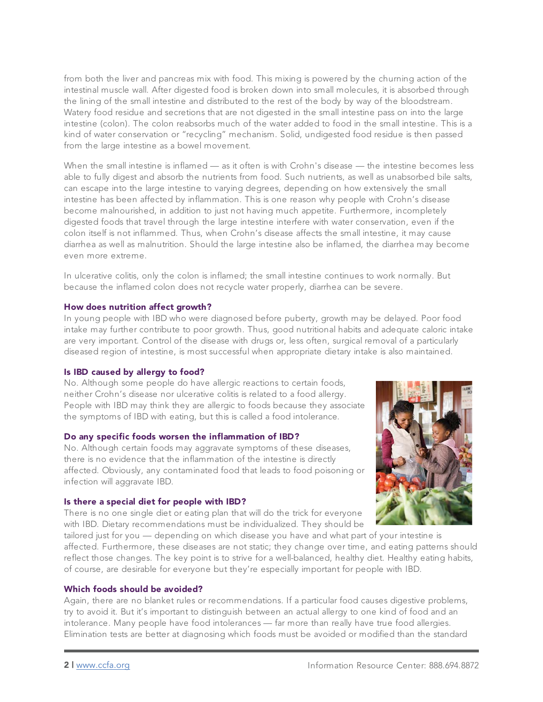from both the liver and pancreas mix with food. This mixing is powered by the churning action of the intestinal muscle wall. After digested food is broken down into small molecules, it is absorbed through the lining of the small intestine and distributed to the rest of the body by way of the bloodstream. Watery food residue and secretions that are not digested in the small intestine pass on into the large intestine (colon). The colon reabsorbs much of the water added to food in the small intestine. This is a kind of water conservation or "recycling" mechanism. Solid, undigested food residue is then passed from the large intestine as a bowel movement.

When the small intestine is inflamed — as it often is with Crohn's disease — the intestine becomes less able to fully digest and absorb the nutrients from food. Such nutrients, as well as unabsorbed bile salts, can escape into the large intestine to varying degrees, depending on how extensively the small intestine has been affected by inflammation. This is one reason why people with Crohn's disease become malnourished, in addition to just not having much appetite. Furthermore, incompletely digested foods that travel through the large intestine interfere with water conservation, even if the colon itself is not inflammed. Thus, when Crohn's disease affects the small intestine, it may cause diarrhea as well as malnutrition. Should the large intestine also be inflamed, the diarrhea may become even more extreme.

In ulcerative colitis, only the colon is inflamed; the small intestine continues to work normally. But because the inflamed colon does not recycle water properly, diarrhea can be severe.

#### How does nutrition affect growth?

In young people with IBD who were diagnosed before puberty, growth may be delayed. Poor food intake may further contribute to poor growth. Thus, good nutritional habits and adequate caloric intake are very important. Control of the disease with drugs or, less often, surgical removal of a particularly diseased region of intestine, is most successful when appropriate dietary intake is also maintained.

#### Is IBD caused by allergy to food?

No. Although some people do have allergic reactions to certain foods, neither Crohn's disease nor ulcerative colitis is related to a food allergy. People with IBD may think they are allergic to foods because they associate the symptoms of IBD with eating, but this is called a food intolerance.

#### Do any specific foods worsen the inflammation of IBD?

No. Although certain foods may aggravate symptoms of these diseases, there is no evidence that the inflammation of the intestine is directly affected. Obviously, any contaminated food that leads to food poisoning or infection will aggravate IBD.

#### Is there a special diet for people with IBD?

There is no one single diet or eating plan that will do the trick for everyone with IBD. Dietary recommendations must be individualized. They should be



tailored just for you — depending on which disease you have and what part of your intestine is affected. Furthermore, these diseases are not static; they change over time, and eating patterns should reflect those changes. The key point is to strive for a well-balanced, healthy diet. Healthy eating habits, of course, are desirable for everyone but they're especially important for people with IBD.

#### Which foods should be avoided?

Again, there are no blanket rules or recommendations. If a particular food causes digestive problems, try to avoid it. But it's important to distinguish between an actual allergy to one kind of food and an intolerance. Many people have food intolerances — far more than really have true food allergies. Elimination tests are better at diagnosing which foods must be avoided or modified than the standard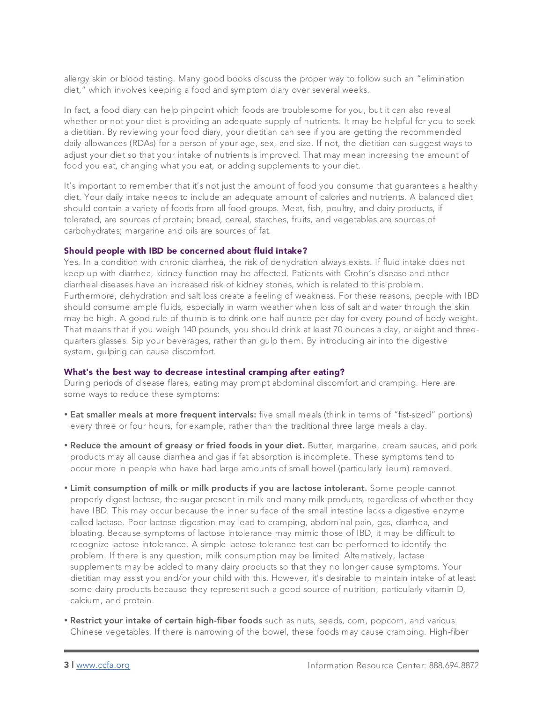allergy skin or blood testing. Many good books discuss the proper way to follow such an "elimination diet," which involves keeping a food and symptom diary over several weeks.

In fact, a food diary can help pinpoint which foods are troublesome for you, but it can also reveal whether or not your diet is providing an adequate supply of nutrients. It may be helpful for you to seek a dietitian. By reviewing your food diary, your dietitian can see if you are getting the recommended daily allowances (RDAs) for a person of your age, sex, and size. If not, the dietitian can suggest ways to adjust your diet so that your intake of nutrients is improved. That may mean increasing the amount of food you eat, changing what you eat, or adding supplements to your diet.

It's important to remember that it's not just the amount of food you consume that guarantees a healthy diet. Your daily intake needs to include an adequate amount of calories and nutrients. A balanced diet should contain a variety of foods from all food groups. Meat, fish, poultry, and dairy products, if tolerated, are sources of protein; bread, cereal, starches, fruits, and vegetables are sources of carbohydrates; margarine and oils are sources of fat.

#### Should people with IBD be concerned about fluid intake?

Yes. In a condition with chronic diarrhea, the risk of dehydration always exists. If fluid intake does not keep up with diarrhea, kidney function may be affected. Patients with Crohn's disease and other diarrheal diseases have an increased risk of kidney stones, which is related to this problem. Furthermore, dehydration and salt loss create a feeling of weakness. For these reasons, people with IBD should consume ample fluids, especially in warm weather when loss of salt and water through the skin may be high. A good rule of thumb is to drink one half ounce per day for every pound of body weight. That means that if you weigh 140 pounds, you should drink at least 70 ounces a day, or eight and threequarters glasses. Sip your beverages, rather than gulp them. By introducing air into the digestive system, gulping can cause discomfort.

#### What's the best way to decrease intestinal cramping after eating?

During periods of disease flares, eating may prompt abdominal discomfort and cramping. Here are some ways to reduce these symptoms:

- Eat smaller meals at more frequent intervals: five small meals (think in terms of "fist-sized" portions) every three or four hours, for example, rather than the traditional three large meals a day.
- Reduce the amount of greasy or fried foods in your diet. Butter, margarine, cream sauces, and pork products may all cause diarrhea and gas if fat absorption is incomplete. These symptoms tend to occur more in people who have had large amounts of small bowel (particularly ileum) removed.
- Limit consumption of milk or milk products if you are lactose intolerant. Some people cannot properly digest lactose, the sugar present in milk and many milk products, regardless of whether they have IBD. This may occur because the inner surface of the small intestine lacks a digestive enzyme called lactase. Poor lactose digestion may lead to cramping, abdominal pain, gas, diarrhea, and bloating. Because symptoms of lactose intolerance may mimic those of IBD, it may be difficult to recognize lactose intolerance. A simple lactose tolerance test can be performed to identify the problem. If there is any question, milk consumption may be limited. Alternatively, lactase supplements may be added to many dairy products so that they no longer cause symptoms. Your dietitian may assist you and/or your child with this. However, it's desirable to maintain intake of at least some dairy products because they represent such a good source of nutrition, particularly vitamin D, calcium, and protein.
- Restrict your intake of certain high-fiber foods such as nuts, seeds, corn, popcorn, and various Chinese vegetables. If there is narrowing of the bowel, these foods may cause cramping. High-fiber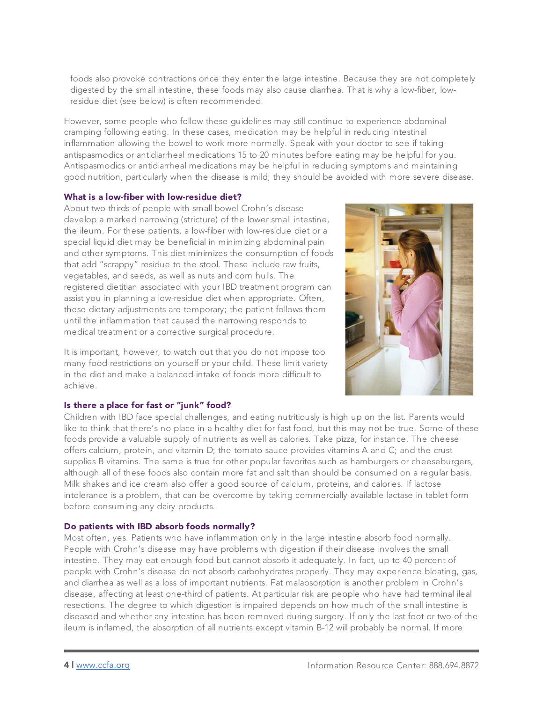foods also provoke contractions once they enter the large intestine. Because they are not completely digested by the small intestine, these foods may also cause diarrhea. That is why a low-fiber, lowresidue diet (see below) is often recommended.

However, some people who follow these guidelines may still continue to experience abdominal cramping following eating. In these cases, medication may be helpful in reducing intestinal inflammation allowing the bowel to work more normally. Speak with your doctor to see if taking antispasmodics or antidiarrheal medications 15 to 20 minutes before eating may be helpful for you. Antispasmodics or antidiarrheal medications may be helpful in reducing symptoms and maintaining good nutrition, particularly when the disease is mild; they should be avoided with more severe disease.

#### What is a low-fiber with low-residue diet?

About two-thirds of people with small bowel Crohn's disease develop a marked narrowing (stricture) of the lower small intestine, the ileum. For these patients, a low-fiber with low-residue diet or a special liquid diet may be beneficial in minimizing abdominal pain and other symptoms. This diet minimizes the consumption of foods that add "scrappy" residue to the stool. These include raw fruits, vegetables, and seeds, as well as nuts and corn hulls. The registered dietitian associated with your IBD treatment program can assist you in planning a low-residue diet when appropriate. Often, these dietary adjustments are temporary; the patient follows them until the inflammation that caused the narrowing responds to medical treatment or a corrective surgical procedure.

It is important, however, to watch out that you do not impose too many food restrictions on yourself or your child. These limit variety in the diet and make a balanced intake of foods more difficult to achieve.



#### Is there a place for fast or "junk" food?

Children with IBD face special challenges, and eating nutritiously is high up on the list. Parents would like to think that there's no place in a healthy diet for fast food, but this may not be true. Some of these foods provide a valuable supply of nutrients as well as calories. Take pizza, for instance. The cheese offers calcium, protein, and vitamin D; the tomato sauce provides vitamins A and C; and the crust supplies B vitamins. The same is true for other popular favorites such as hamburgers or cheeseburgers, although all of these foods also contain more fat and salt than should be consumed on a regular basis. Milk shakes and ice cream also offer a good source of calcium, proteins, and calories. If lactose intolerance is a problem, that can be overcome by taking commercially available lactase in tablet form before consuming any dairy products.

#### Do patients with IBD absorb foods normally?

Most often, yes. Patients who have inflammation only in the large intestine absorb food normally. People with Crohn's disease may have problems with digestion if their disease involves the small intestine. They may eat enough food but cannot absorb it adequately. In fact, up to 40 percent of people with Crohn's disease do not absorb carbohydrates properly. They may experience bloating, gas, and diarrhea as well as a loss of important nutrients. Fat malabsorption is another problem in Crohn's disease, affecting at least one-third of patients. At particular risk are people who have had terminal ileal resections. The degree to which digestion is impaired depends on how much of the small intestine is diseased and whether any intestine has been removed during surgery. If only the last foot or two of the ileum is inflamed, the absorption of all nutrients except vitamin B-12 will probably be normal. If more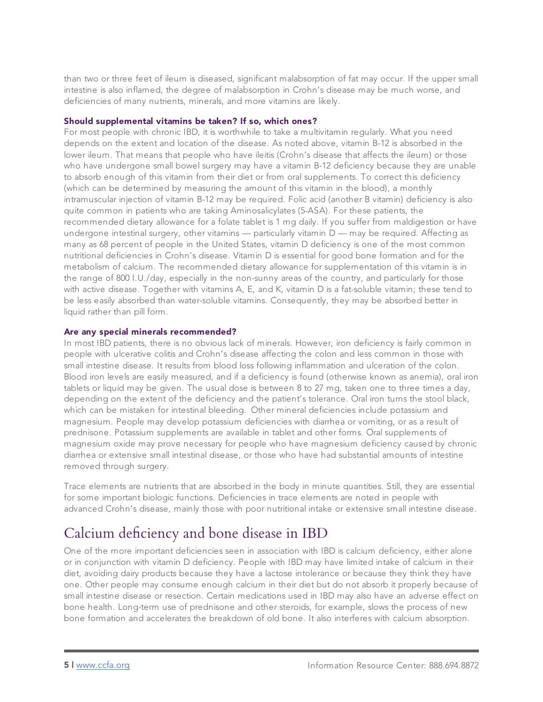than two or three feet of ileum is diseased, significant malabsorption of fat may occur. If the upper small intestine is also inflamed, the degree of malabsorption in Crohn's disease may be much worse, and deficiencies of many nutrients, minerals, and more vitamins are likely.

#### Should supplemental vitamins be taken? If so, which ones?

For most people with chronic IBD, it is worthwhile to take a multivitamin regularly. What you need depends on the extent and location of the disease. As noted above, vitamin B-12 is absorbed in the lower ileum. That means that people who have ileitis (Crohn's disease that affects the ileum) or those who have undergone small bowel surgery may have a vitamin B-12 deficiency because they are unable to absorb enough of this vitamin from their diet or from oral supplements. To correct this deficiency (which can be determined by measuring the amount of this vitamin in the blood), a monthly intramuscular injection of vitamin B-12 may be required. Folic acid (another B vitamin) deficiency is also quite common in patients who are taking Aminosalicylates (5-ASA). For these patients, the recommended dietary allowance for a folate tablet is 1 mg daily. If you suffer from maldigestion or have undergone intestinal surgery, other vitamins — particularly vitamin D — may be required. Affecting as many as 68 percent of people in the United States, vitamin D deficiency is one of the most common nutritional deficiencies in Crohn's disease. Vitamin D is essential for good bone formation and for the metabolism of calcium. The recommended dietary allowance for supplementation of this vitamin is in the range of 800 I.U./day, especially in the non-sunny areas of the country, and particularly for those with active disease. Together with vitamins A, E, and K, vitamin D is a fat-soluble vitamin; these tend to be less easily absorbed than water-soluble vitamins. Consequently, they may be absorbed better in liquid rather than pill form.

#### Are any special minerals recommended?

In most IBD patients, there is no obvious lack of minerals. However, iron deficiency is fairly common in people with ulcerative colitis and Crohn's disease affecting the colon and less common in those with small intestine disease. It results from blood loss following inflammation and ulceration of the colon. Blood iron levels are easily measured, and if a deficiency is found (otherwise known as anemia), oral iron tablets or liquid may be given. The usual dose is between 8 to 27 mg, taken one to three times a day, depending on the extent of the deficiency and the patient's tolerance. Oral iron turns the stool black, which can be mistaken for intestinal bleeding. Other mineral deficiencies include potassium and magnesium. People may develop potassium deficiencies with diarrhea or vomiting, or as a result of prednisone. Potassium supplements are available in tablet and other forms. Oral supplements of magnesium oxide may prove necessary for people who have magnesium deficiency caused by chronic diarrhea or extensive small intestinal disease, or those who have had substantial amounts of intestine removed through surgery.

Trace elements are nutrients that are absorbed in the body in minute quantities. Still, they are essential for some important biologic functions. Deficiencies in trace elements are noted in people with advanced Crohn's disease, mainly those with poor nutritional intake or extensive small intestine disease.

# Calcium deficiency and bone disease in IBD

One of the more important deficiencies seen in association with IBD is calcium deficiency, either alone or in conjunction with vitamin D deficiency. People with IBD may have limited intake of calcium in their diet, avoiding dairy products because they have a lactose intolerance or because they think they have one. Other people may consume enough calcium in their diet but do not absorb it properly because of small intestine disease or resection. Certain medications used in IBD may also have an adverse effect on bone health. Long-term use of prednisone and other steroids, for example, slows the process of new bone formation and accelerates the breakdown of old bone. It also interferes with calcium absorption.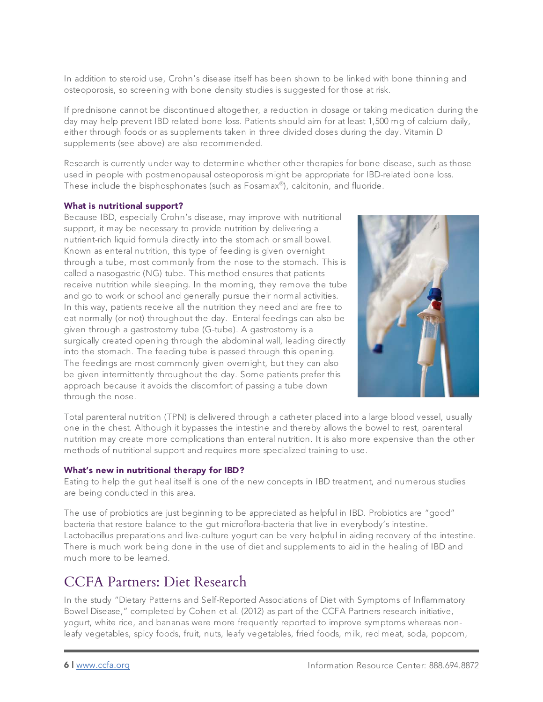In addition to steroid use, Crohn's disease itself has been shown to be linked with bone thinning and osteoporosis, so screening with bone density studies is suggested for those at risk.

If prednisone cannot be discontinued altogether, a reduction in dosage or taking medication during the day may help prevent IBD related bone loss. Patients should aim for at least 1,500 mg of calcium daily, either through foods or as supplements taken in three divided doses during the day. Vitamin D supplements (see above) are also recommended.

Research is currently under way to determine whether other therapies for bone disease, such as those used in people with postmenopausal osteoporosis might be appropriate for IBD-related bone loss. These include the bisphosphonates (such as Fosamax®), calcitonin, and fluoride.

#### What is nutritional support?

Because IBD, especially Crohn's disease, may improve with nutritional support, it may be necessary to provide nutrition by delivering a nutrient-rich liquid formula directly into the stomach or small bowel. Known as enteral nutrition, this type of feeding is given overnight through a tube, most commonly from the nose to the stomach. This is called a nasogastric (NG) tube. This method ensures that patients receive nutrition while sleeping. In the morning, they remove the tube and go to work or school and generally pursue their normal activities. In this way, patients receive all the nutrition they need and are free to eat normally (or not) throughout the day. Enteral feedings can also be given through a gastrostomy tube (G-tube). A gastrostomy is a surgically created opening through the abdominal wall, leading directly into the stomach. The feeding tube is passed through this opening. The feedings are most commonly given overnight, but they can also be given intermittently throughout the day. Some patients prefer this approach because it avoids the discomfort of passing a tube down through the nose.



Total parenteral nutrition (TPN) is delivered through a catheter placed into a large blood vessel, usually one in the chest. Although it bypasses the intestine and thereby allows the bowel to rest, parenteral nutrition may create more complications than enteral nutrition. It is also more expensive than the other methods of nutritional support and requires more specialized training to use.

#### What's new in nutritional therapy for IBD?

Eating to help the gut heal itself is one of the new concepts in IBD treatment, and numerous studies are being conducted in this area.

The use of probiotics are just beginning to be appreciated as helpful in IBD. Probiotics are "good" bacteria that restore balance to the gut microflora-bacteria that live in everybody's intestine. Lactobacillus preparations and live-culture yogurt can be very helpful in aiding recovery of the intestine. There is much work being done in the use of diet and supplements to aid in the healing of IBD and much more to be learned.

### CCFA Partners: Diet Research

In the study "Dietary Patterns and Self-Reported Associations of Diet with Symptoms of Inflammatory Bowel Disease," completed by Cohen et al. (2012) as part of the CCFA Partners research initiative, yogurt, white rice, and bananas were more frequently reported to improve symptoms whereas nonleafy vegetables, spicy foods, fruit, nuts, leafy vegetables, fried foods, milk, red meat, soda, popcorn,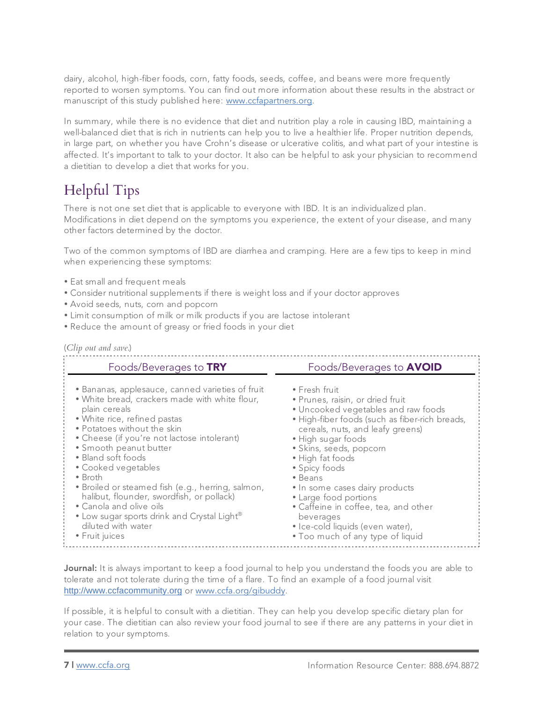dairy, alcohol, high-fiber foods, corn, fatty foods, seeds, coffee, and beans were more frequently reported to worsen symptoms. You can find out more information about these results in the abstract or manuscript of this study published here: www.ccfapartners.org.

In summary, while there is no evidence that diet and nutrition play a role in causing IBD, maintaining a well-balanced diet that is rich in nutrients can help you to live a healthier life. Proper nutrition depends, in large part, on whether you have Crohn's disease or ulcerative colitis, and what part of your intestine is affected. It's important to talk to your doctor. It also can be helpful to ask your physician to recommend a dietitian to develop a diet that works for you.

# Helpful Tips

There is not one set diet that is applicable to everyone with IBD. It is an individualized plan. Modifications in diet depend on the symptoms you experience, the extent of your disease, and many other factors determined by the doctor.

Two of the common symptoms of IBD are diarrhea and cramping. Here are a few tips to keep in mind when experiencing these symptoms:

- Eat small and frequent meals
- Consider nutritional supplements if there is weight loss and if your doctor approves
- Avoid seeds, nuts, corn and popcorn
- Limit consumption of milk or milk products if you are lactose intolerant
- Reduce the amount of greasy or fried foods in your diet

| Foods/Beverages to TRY                            | Foods/Beverages to <b>AVOID</b>                |
|---------------------------------------------------|------------------------------------------------|
| • Bananas, applesauce, canned varieties of fruit  | • Fresh fruit                                  |
| . White bread, crackers made with white flour,    | · Prunes, raisin, or dried fruit               |
| plain cereals                                     | • Uncooked vegetables and raw foods            |
| • White rice, refined pastas                      | • High-fiber foods (such as fiber-rich breads, |
| • Potatoes without the skin                       | cereals, nuts, and leafy greens)               |
| • Cheese (if you're not lactose intolerant)       | • High sugar foods                             |
| • Smooth peanut butter                            | • Skins, seeds, popcorn                        |
| · Bland soft foods                                | • High fat foods                               |
| • Cooked vegetables                               | • Spicy foods                                  |
| $\bullet$ Broth                                   | $\bullet$ Beans                                |
| · Broiled or steamed fish (e.g., herring, salmon, | • In some cases dairy products                 |
| halibut, flounder, swordfish, or pollack)         | • Large food portions                          |
| • Canola and olive oils                           | • Caffeine in coffee, tea, and other           |
| • Low sugar sports drink and Crystal Light®       | beverages                                      |
| diluted with water                                | • Ice-cold liquids (even water),               |
| • Fruit juices                                    | • Too much of any type of liquid               |

**Journal:** It is always important to keep a food journal to help you understand the foods you are able to tolerate and not tolerate during the time of a flare. To find an example of a food journal visit http://www.ccfacommunity.org or www.ccfa.org/gibuddy.

If possible, it is helpful to consult with a dietitian. They can help you develop specific dietary plan for your case. The dietitian can also review your food journal to see if there are any patterns in your diet in relation to your symptoms.